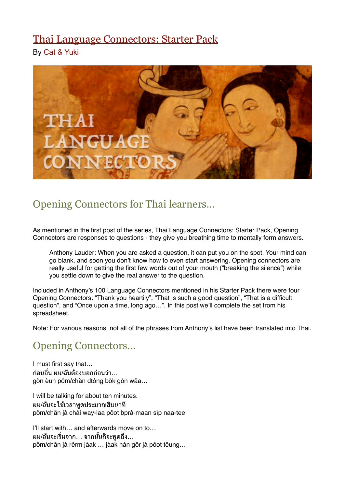# [Thai Language Connectors: Starter Pack](http://womenlearnthai.com/index.php/thai-language-connectors-opening-connectors)

By [Cat & Yuki](http://womenlearnthai.com/index.php/author/yuki/)



## Opening Connectors for Thai learners…

As mentioned in the first post of the series, Thai Language Connectors: Starter Pack, Opening Connectors are responses to questions - they give you breathing time to mentally form answers.

Anthony Lauder: When you are asked a question, it can put you on the spot. Your mind can go blank, and soon you don't know how to even start answering. Opening connectors are really useful for getting the first few words out of your mouth ("breaking the silence") while you settle down to give the real answer to the question.

Included in Anthony's 100 Language Connectors mentioned in his Starter Pack there were four Opening Connectors: "Thank you heartily", "That is such a good question", "That is a difficult question", and "Once upon a time, long ago…". In this post we'll complete the set from his spreadsheet.

Note: For various reasons, not all of the phrases from Anthony's list have been translated into Thai.

### Opening Connectors…

I must first say that… ึก่อนอื่น ผม/ฉันต้องบอกก่อนว่า… gòn èun pŏm/chăn dtông bòk gòn wâa…

I will be talking for about ten minutes. ้ผม/ฉันจะใช้เวลาพดประมาณสิบนาที pŏm/chăn jà chái way-laa pôot bprà-maan sìp naa-tee

I'll start with... and afterwards move on to... ผม/ฉันจะเริ่มจาก… จากนั้นก็จะพดถึง… pŏm/chăn jà rêrm jàak … jàak nán gôr jà pôot tĕung…